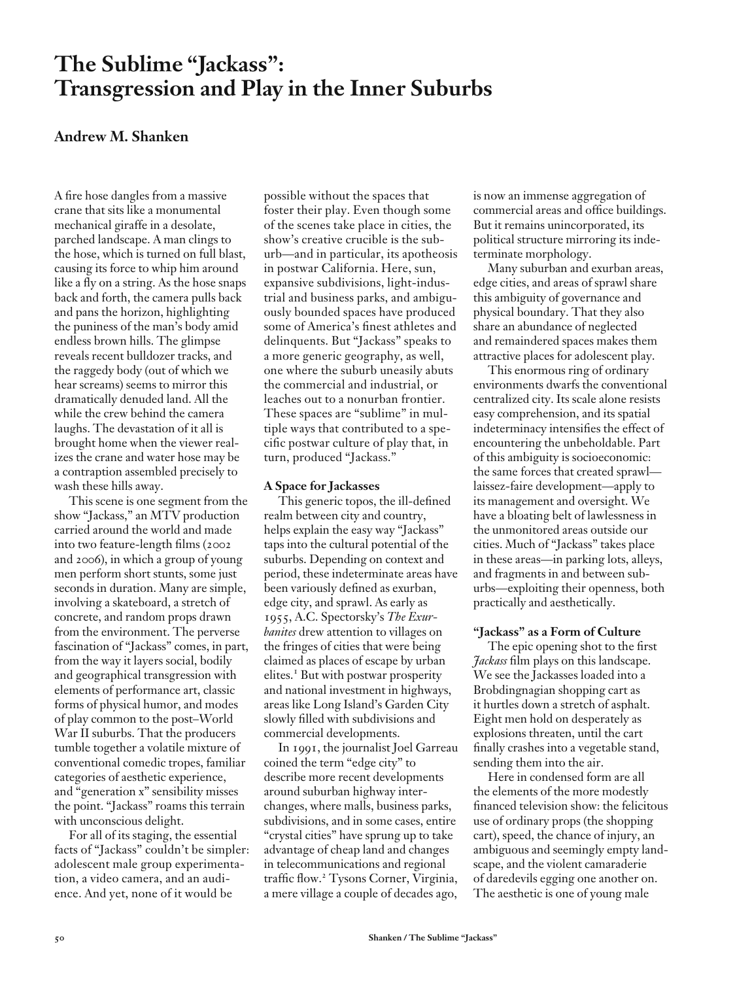# **The Sublime "Jackass": Transgression and Play in the Inner Suburbs**

# **Andrew M. Shanken**

A fire hose dangles from a massive crane that sits like a monumental mechanical giraffe in a desolate, parched landscape. A man clings to the hose, which is turned on full blast, causing its force to whip him around like a fly on a string. As the hose snaps back and forth, the camera pulls back and pans the horizon, highlighting the puniness of the man's body amid endless brown hills. The glimpse reveals recent bulldozer tracks, and the raggedy body (out of which we hear screams) seems to mirror this dramatically denuded land. All the while the crew behind the camera laughs. The devastation of it all is brought home when the viewer realizes the crane and water hose may be a contraption assembled precisely to wash these hills away.

This scene is one segment from the show "Jackass," an MTV production carried around the world and made into two feature-length films (2002 and 2006), in which a group of young men perform short stunts, some just seconds in duration. Many are simple, involving a skateboard, a stretch of concrete, and random props drawn from the environment. The perverse fascination of "Jackass" comes, in part, from the way it layers social, bodily and geographical transgression with elements of performance art, classic forms of physical humor, and modes of play common to the post–World War II suburbs. That the producers tumble together a volatile mixture of conventional comedic tropes, familiar categories of aesthetic experience, and "generation x" sensibility misses the point. "Jackass" roams this terrain with unconscious delight.

For all of its staging, the essential facts of "Jackass" couldn't be simpler: adolescent male group experimentation, a video camera, and an audience. And yet, none of it would be

possible without the spaces that foster their play. Even though some of the scenes take place in cities, the show's creative crucible is the suburb—and in particular, its apotheosis in postwar California. Here, sun, expansive subdivisions, light-industrial and business parks, and ambiguously bounded spaces have produced some of America's finest athletes and delinquents. But "Jackass" speaks to a more generic geography, as well, one where the suburb uneasily abuts the commercial and industrial, or leaches out to a nonurban frontier. These spaces are "sublime" in multiple ways that contributed to a specific postwar culture of play that, in turn, produced "Jackass."

# **A Space for Jackasses**

This generic topos, the ill-defined realm between city and country, helps explain the easy way "Jackass" taps into the cultural potential of the suburbs. Depending on context and period, these indeterminate areas have been variously defined as exurban, edge city, and sprawl. As early as 1955, A.C. Spectorsky's *The Exurbanites* drew attention to villages on the fringes of cities that were being claimed as places of escape by urban elites.<sup>1</sup> But with postwar prosperity and national investment in highways, areas like Long Island's Garden City slowly filled with subdivisions and commercial developments.

In 1991, the journalist Joel Garreau coined the term "edge city" to describe more recent developments around suburban highway interchanges, where malls, business parks, subdivisions, and in some cases, entire "crystal cities" have sprung up to take advantage of cheap land and changes in telecommunications and regional traffic flow.<sup>2</sup> Tysons Corner, Virginia, a mere village a couple of decades ago,

is now an immense aggregation of commercial areas and office buildings. But it remains unincorporated, its political structure mirroring its indeterminate morphology.

Many suburban and exurban areas, edge cities, and areas of sprawl share this ambiguity of governance and physical boundary. That they also share an abundance of neglected and remaindered spaces makes them attractive places for adolescent play.

This enormous ring of ordinary environments dwarfs the conventional centralized city. Its scale alone resists easy comprehension, and its spatial indeterminacy intensifies the effect of encountering the unbeholdable. Part of this ambiguity is socioeconomic: the same forces that created sprawl laissez-faire development—apply to its management and oversight. We have a bloating belt of lawlessness in the unmonitored areas outside our cities. Much of "Jackass" takes place in these areas—in parking lots, alleys, and fragments in and between suburbs—exploiting their openness, both practically and aesthetically.

# **"Jackass" as a Form of Culture**

The epic opening shot to the first *Jackass* film plays on this landscape. We see the Jackasses loaded into a Brobdingnagian shopping cart as it hurtles down a stretch of asphalt. Eight men hold on desperately as explosions threaten, until the cart finally crashes into a vegetable stand, sending them into the air.

Here in condensed form are all the elements of the more modestly financed television show: the felicitous use of ordinary props (the shopping cart), speed, the chance of injury, an ambiguous and seemingly empty landscape, and the violent camaraderie of daredevils egging one another on. The aesthetic is one of young male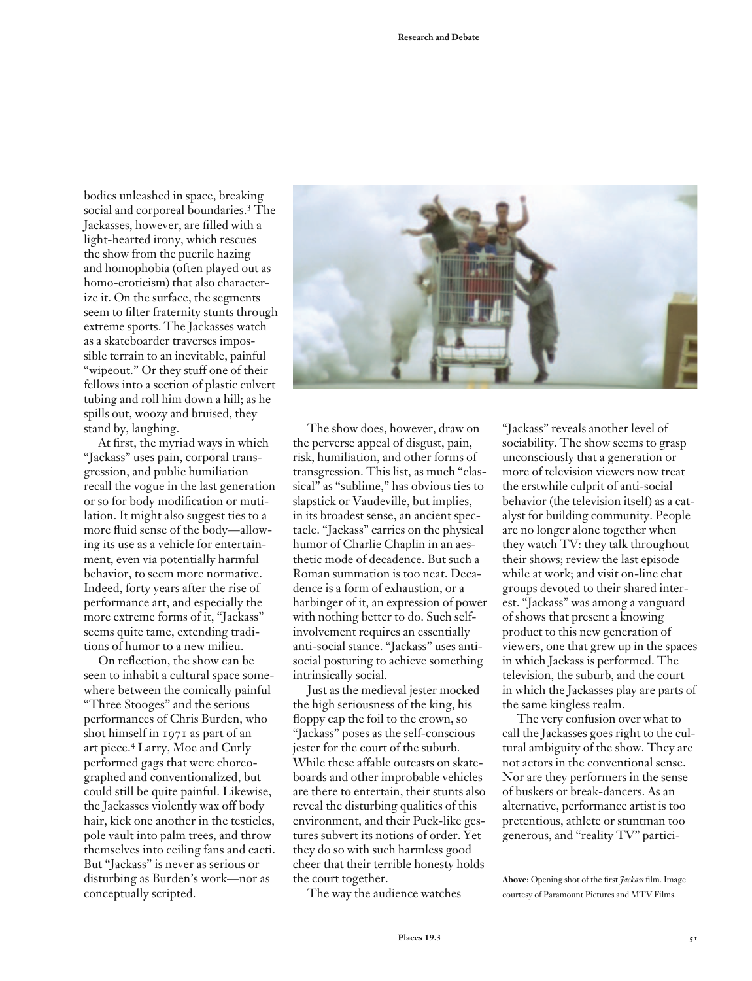bodies unleashed in space, breaking social and corporeal boundaries.<sup>3</sup> The Jackasses, however, are filled with a light-hearted irony, which rescues the show from the puerile hazing and homophobia (often played out as homo-eroticism) that also characterize it. On the surface, the segments seem to filter fraternity stunts through extreme sports. The Jackasses watch as a skateboarder traverses impossible terrain to an inevitable, painful "wipeout." Or they stuff one of their fellows into a section of plastic culvert tubing and roll him down a hill; as he spills out, woozy and bruised, they stand by, laughing.

At first, the myriad ways in which "Jackass" uses pain, corporal transgression, and public humiliation recall the vogue in the last generation or so for body modification or mutilation. It might also suggest ties to a more fluid sense of the body—allowing its use as a vehicle for entertainment, even via potentially harmful behavior, to seem more normative. Indeed, forty years after the rise of performance art, and especially the more extreme forms of it, "Jackass" seems quite tame, extending traditions of humor to a new milieu.

On reflection, the show can be seen to inhabit a cultural space somewhere between the comically painful "Three Stooges" and the serious performances of Chris Burden, who shot himself in 1971 as part of an art piece.<sup>4</sup> Larry, Moe and Curly performed gags that were choreographed and conventionalized, but could still be quite painful. Likewise, the Jackasses violently wax off body hair, kick one another in the testicles, pole vault into palm trees, and throw themselves into ceiling fans and cacti. But "Jackass" is never as serious or disturbing as Burden's work—nor as conceptually scripted.



The show does, however, draw on the perverse appeal of disgust, pain, risk, humiliation, and other forms of transgression. This list, as much "classical" as "sublime," has obvious ties to slapstick or Vaudeville, but implies, in its broadest sense, an ancient spectacle. "Jackass" carries on the physical humor of Charlie Chaplin in an aesthetic mode of decadence. But such a Roman summation is too neat. Decadence is a form of exhaustion, or a harbinger of it, an expression of power with nothing better to do. Such selfinvolvement requires an essentially anti-social stance. "Jackass" uses antisocial posturing to achieve something intrinsically social.

Just as the medieval jester mocked the high seriousness of the king, his floppy cap the foil to the crown, so "Jackass" poses as the self-conscious jester for the court of the suburb. While these affable outcasts on skateboards and other improbable vehicles are there to entertain, their stunts also reveal the disturbing qualities of this environment, and their Puck-like gestures subvert its notions of order. Yet they do so with such harmless good cheer that their terrible honesty holds the court together.

The way the audience watches

"Jackass" reveals another level of sociability. The show seems to grasp unconsciously that a generation or more of television viewers now treat the erstwhile culprit of anti-social behavior (the television itself) as a catalyst for building community. People are no longer alone together when they watch TV: they talk throughout their shows; review the last episode while at work; and visit on-line chat groups devoted to their shared interest. "Jackass" was among a vanguard of shows that present a knowing product to this new generation of viewers, one that grew up in the spaces in which Jackass is performed. The television, the suburb, and the court in which the Jackasses play are parts of the same kingless realm.

The very confusion over what to call the Jackasses goes right to the cultural ambiguity of the show. They are not actors in the conventional sense. Nor are they performers in the sense of buskers or break-dancers. As an alternative, performance artist is too pretentious, athlete or stuntman too generous, and "reality TV" partici-

**Above:** Opening shot of the first *Jackass* film. Image courtesy of Paramount Pictures and MTV Films.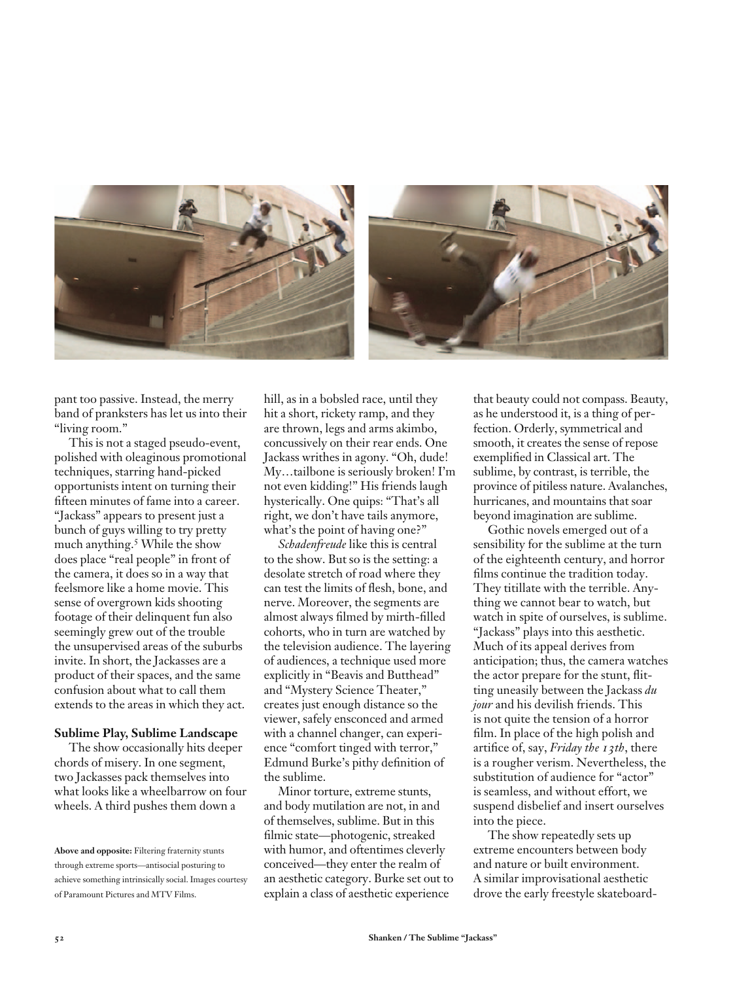

pant too passive. Instead, the merry band of pranksters has let us into their "living room."

This is not a staged pseudo-event, polished with oleaginous promotional techniques, starring hand-picked opportunists intent on turning their fifteen minutes of fame into a career. "Jackass" appears to present just a bunch of guys willing to try pretty much anything.<sup>5</sup> While the show does place "real people" in front of the camera, it does so in a way that feelsmore like a home movie. This sense of overgrown kids shooting footage of their delinquent fun also seemingly grew out of the trouble the unsupervised areas of the suburbs invite. In short, the Jackasses are a product of their spaces, and the same confusion about what to call them extends to the areas in which they act.

#### **Sublime Play, Sublime Landscape**

The show occasionally hits deeper chords of misery. In one segment, two Jackasses pack themselves into what looks like a wheelbarrow on four wheels. A third pushes them down a

hill, as in a bobsled race, until they hit a short, rickety ramp, and they are thrown, legs and arms akimbo, concussively on their rear ends. One Jackass writhes in agony. "Oh, dude! My…tailbone is seriously broken! I'm not even kidding!" His friends laugh hysterically. One quips: "That's all right, we don't have tails anymore, what's the point of having one?"

*Schadenfreude* like this is central to the show. But so is the setting: a desolate stretch of road where they can test the limits of flesh, bone, and nerve. Moreover, the segments are almost always filmed by mirth-filled cohorts, who in turn are watched by the television audience. The layering of audiences, a technique used more explicitly in "Beavis and Butthead" and "Mystery Science Theater," creates just enough distance so the viewer, safely ensconced and armed with a channel changer, can experience "comfort tinged with terror," Edmund Burke's pithy definition of the sublime.

Minor torture, extreme stunts, and body mutilation are not, in and of themselves, sublime. But in this filmic state—photogenic, streaked with humor, and oftentimes cleverly conceived—they enter the realm of an aesthetic category. Burke set out to explain a class of aesthetic experience

that beauty could not compass. Beauty, as he understood it, is a thing of perfection. Orderly, symmetrical and smooth, it creates the sense of repose exemplified in Classical art. The sublime, by contrast, is terrible, the province of pitiless nature. Avalanches, hurricanes, and mountains that soar beyond imagination are sublime.

Gothic novels emerged out of a sensibility for the sublime at the turn of the eighteenth century, and horror films continue the tradition today. They titillate with the terrible. Anything we cannot bear to watch, but watch in spite of ourselves, is sublime. "Jackass" plays into this aesthetic. Much of its appeal derives from anticipation; thus, the camera watches the actor prepare for the stunt, flitting uneasily between the Jackass *du jour* and his devilish friends. This is not quite the tension of a horror film. In place of the high polish and artifice of, say, *Friday the 13th*, there is a rougher verism. Nevertheless, the substitution of audience for "actor" is seamless, and without effort, we suspend disbelief and insert ourselves into the piece.

The show repeatedly sets up extreme encounters between body and nature or built environment. A similar improvisational aesthetic drove the early freestyle skateboard-

**Above and opposite:** Filtering fraternity stunts through extreme sports—antisocial posturing to achieve something intrinsically social. Images courtesy of Paramount Pictures and MTV Films.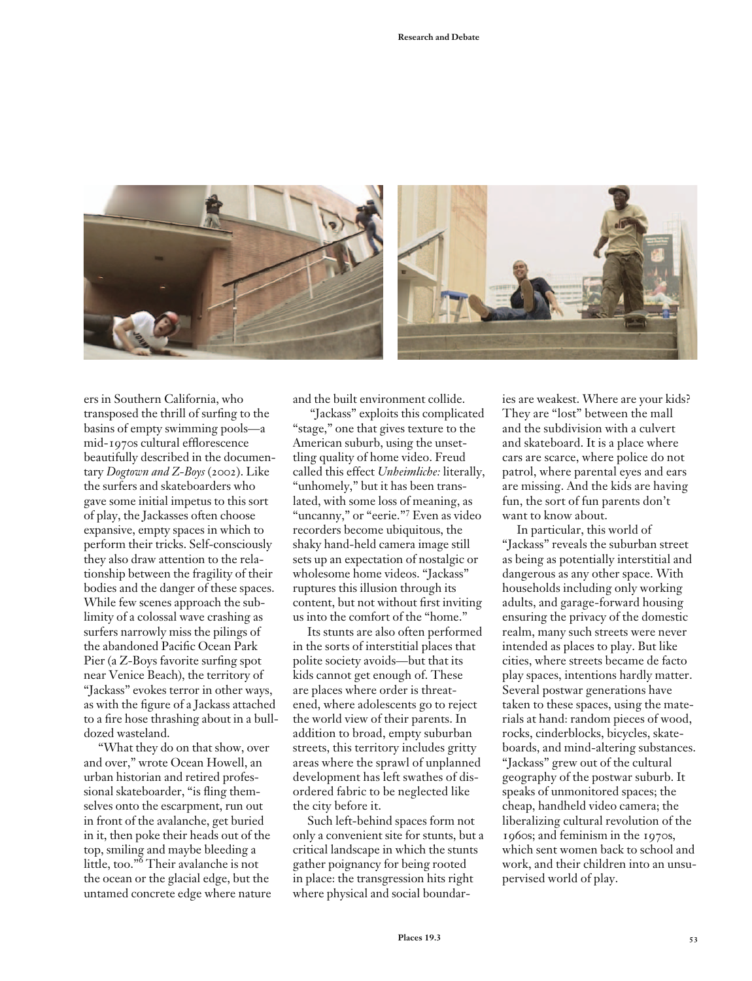

ers in Southern California, who transposed the thrill of surfing to the basins of empty swimming pools—a mid-1970s cultural efflorescence beautifully described in the documentary *Dogtown and Z-Boys* (2002). Like the surfers and skateboarders who gave some initial impetus to this sort of play, the Jackasses often choose expansive, empty spaces in which to perform their tricks. Self-consciously they also draw attention to the relationship between the fragility of their bodies and the danger of these spaces. While few scenes approach the sublimity of a colossal wave crashing as surfers narrowly miss the pilings of the abandoned Pacific Ocean Park Pier (a Z-Boys favorite surfing spot near Venice Beach), the territory of "Jackass" evokes terror in other ways, as with the figure of a Jackass attached to a fire hose thrashing about in a bulldozed wasteland.

"What they do on that show, over and over," wrote Ocean Howell, an urban historian and retired professional skateboarder, "is fling themselves onto the escarpment, run out in front of the avalanche, get buried in it, then poke their heads out of the top, smiling and maybe bleeding a little, too."<sup>6</sup> Their avalanche is not the ocean or the glacial edge, but the untamed concrete edge where nature and the built environment collide.

 "Jackass" exploits this complicated "stage," one that gives texture to the American suburb, using the unsettling quality of home video. Freud called this effect *Unheimliche:* literally, "unhomely," but it has been translated, with some loss of meaning, as "uncanny," or "eerie."7 Even as video recorders become ubiquitous, the shaky hand-held camera image still sets up an expectation of nostalgic or wholesome home videos. "Jackass" ruptures this illusion through its content, but not without first inviting us into the comfort of the "home."

Its stunts are also often performed in the sorts of interstitial places that polite society avoids—but that its kids cannot get enough of. These are places where order is threatened, where adolescents go to reject the world view of their parents. In addition to broad, empty suburban streets, this territory includes gritty areas where the sprawl of unplanned development has left swathes of disordered fabric to be neglected like the city before it.

Such left-behind spaces form not only a convenient site for stunts, but a critical landscape in which the stunts gather poignancy for being rooted in place: the transgression hits right where physical and social boundaries are weakest. Where are your kids? They are "lost" between the mall and the subdivision with a culvert and skateboard. It is a place where cars are scarce, where police do not patrol, where parental eyes and ears are missing. And the kids are having fun, the sort of fun parents don't want to know about.

In particular, this world of "Jackass" reveals the suburban street as being as potentially interstitial and dangerous as any other space. With households including only working adults, and garage-forward housing ensuring the privacy of the domestic realm, many such streets were never intended as places to play. But like cities, where streets became de facto play spaces, intentions hardly matter. Several postwar generations have taken to these spaces, using the materials at hand: random pieces of wood, rocks, cinderblocks, bicycles, skateboards, and mind-altering substances. "Jackass" grew out of the cultural geography of the postwar suburb. It speaks of unmonitored spaces; the cheap, handheld video camera; the liberalizing cultural revolution of the 1960s; and feminism in the 1970s, which sent women back to school and work, and their children into an unsupervised world of play.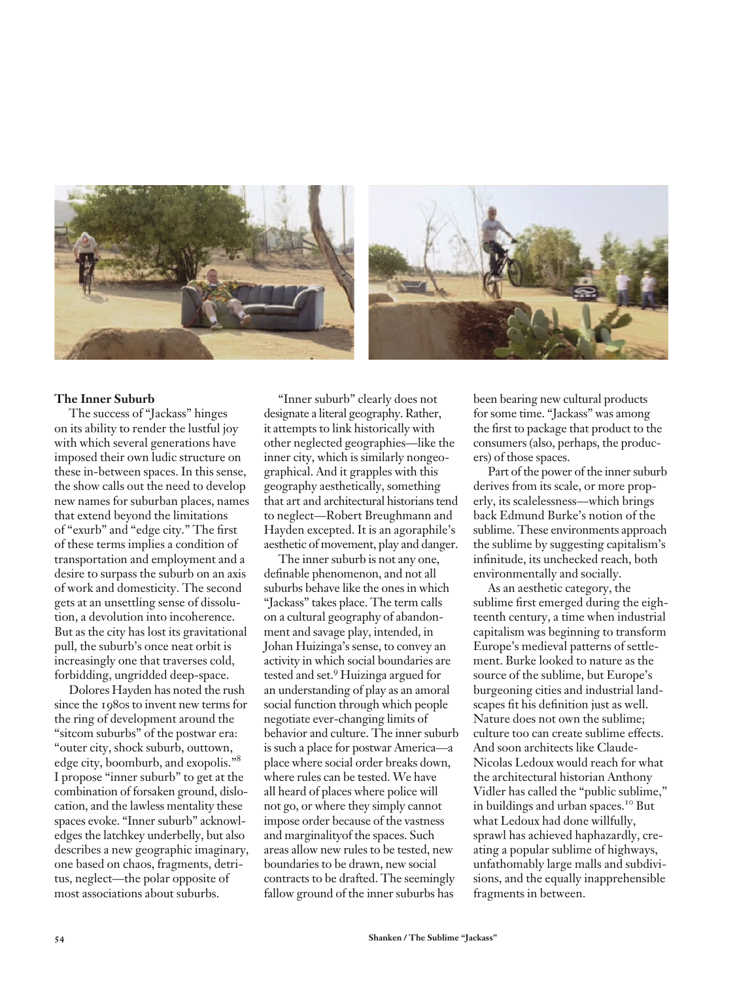

### **The Inner Suburb**

The success of "Jackass" hinges on its ability to render the lustful joy with which several generations have imposed their own ludic structure on these in-between spaces. In this sense, the show calls out the need to develop new names for suburban places, names that extend beyond the limitations of "exurb" and "edge city." The first of these terms implies a condition of transportation and employment and a desire to surpass the suburb on an axis of work and domesticity. The second gets at an unsettling sense of dissolution, a devolution into incoherence. But as the city has lost its gravitational pull, the suburb's once neat orbit is increasingly one that traverses cold, forbidding, ungridded deep-space.

Dolores Hayden has noted the rush since the 1980s to invent new terms for the ring of development around the "sitcom suburbs" of the postwar era: "outer city, shock suburb, outtown, edge city, boomburb, and exopolis."<sup>8</sup> I propose "inner suburb" to get at the combination of forsaken ground, dislocation, and the lawless mentality these spaces evoke. "Inner suburb" acknowledges the latchkey underbelly, but also describes a new geographic imaginary, one based on chaos, fragments, detritus, neglect—the polar opposite of most associations about suburbs.

"Inner suburb" clearly does not designate a literal geography. Rather, it attempts to link historically with other neglected geographies—like the inner city, which is similarly nongeographical. And it grapples with this geography aesthetically, something that art and architectural historians tend to neglect—Robert Breughmann and Hayden excepted. It is an agoraphile's aesthetic of movement, play and danger.

The inner suburb is not any one, definable phenomenon, and not all suburbs behave like the ones in which "Jackass" takes place. The term calls on a cultural geography of abandonment and savage play, intended, in Johan Huizinga's sense, to convey an activity in which social boundaries are tested and set.9 Huizinga argued for an understanding of play as an amoral social function through which people negotiate ever-changing limits of behavior and culture. The inner suburb is such a place for postwar America—a place where social order breaks down, where rules can be tested. We have all heard of places where police will not go, or where they simply cannot impose order because of the vastness and marginalityof the spaces. Such areas allow new rules to be tested, new boundaries to be drawn, new social contracts to be drafted. The seemingly fallow ground of the inner suburbs has

been bearing new cultural products for some time. "Jackass" was among the first to package that product to the consumers (also, perhaps, the producers) of those spaces.

Part of the power of the inner suburb derives from its scale, or more properly, its scalelessness—which brings back Edmund Burke's notion of the sublime. These environments approach the sublime by suggesting capitalism's infinitude, its unchecked reach, both environmentally and socially.

As an aesthetic category, the sublime first emerged during the eighteenth century, a time when industrial capitalism was beginning to transform Europe's medieval patterns of settlement. Burke looked to nature as the source of the sublime, but Europe's burgeoning cities and industrial landscapes fit his definition just as well. Nature does not own the sublime; culture too can create sublime effects. And soon architects like Claude-Nicolas Ledoux would reach for what the architectural historian Anthony Vidler has called the "public sublime," in buildings and urban spaces.<sup>10</sup> But what Ledoux had done willfully, sprawl has achieved haphazardly, creating a popular sublime of highways, unfathomably large malls and subdivisions, and the equally inapprehensible fragments in between.